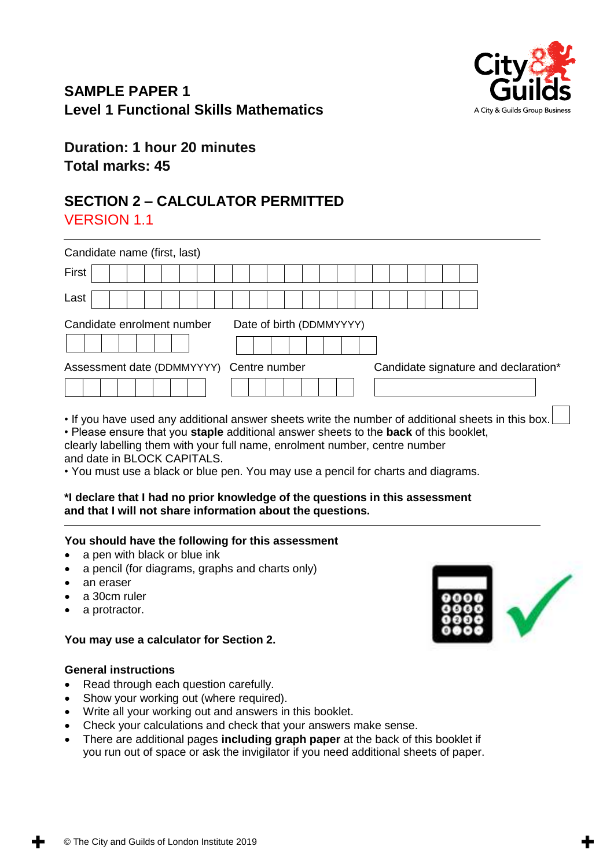# **SAMPLE PAPER 1 Level 1 Functional Skills Mathematics**



# **Duration: 1 hour 20 minutes Total marks: 45**

# **SECTION 2 – CALCULATOR PERMITTED** VERSION 1.1

| Candidate name (first, last)                                                                   |  |  |  |  |  |  |  |                          |  |  |  |  |                                      |  |  |
|------------------------------------------------------------------------------------------------|--|--|--|--|--|--|--|--------------------------|--|--|--|--|--------------------------------------|--|--|
| First                                                                                          |  |  |  |  |  |  |  |                          |  |  |  |  |                                      |  |  |
| Last                                                                                           |  |  |  |  |  |  |  |                          |  |  |  |  |                                      |  |  |
| Candidate enrolment number                                                                     |  |  |  |  |  |  |  | Date of birth (DDMMYYYY) |  |  |  |  |                                      |  |  |
| Assessment date (DDMMYYYY) Centre number                                                       |  |  |  |  |  |  |  |                          |  |  |  |  | Candidate signature and declaration* |  |  |
| If you how used ony additional enough aboate write the number of additional eboate in this how |  |  |  |  |  |  |  |                          |  |  |  |  |                                      |  |  |

• If you have used any additional answer sheets write the number of additional sheets in this box.

• Please ensure that you **staple** additional answer sheets to the **back** of this booklet,

clearly labelling them with your full name, enrolment number, centre number and date in BLOCK CAPITALS.

• You must use a black or blue pen. You may use a pencil for charts and diagrams.

#### **\*I declare that I had no prior knowledge of the questions in this assessment and that I will not share information about the questions.**

#### **You should have the following for this assessment**

- a pen with black or blue ink
- a pencil (for diagrams, graphs and charts only)
- an eraser
- a 30cm ruler
- a protractor.

#### **You may use a calculator for Section 2.**

#### **General instructions**

- Read through each question carefully.
- Show your working out (where required).
- Write all your working out and answers in this booklet.
- Check your calculations and check that your answers make sense.
- There are additional pages **including graph paper** at the back of this booklet if you run out of space or ask the invigilator if you need additional sheets of paper.

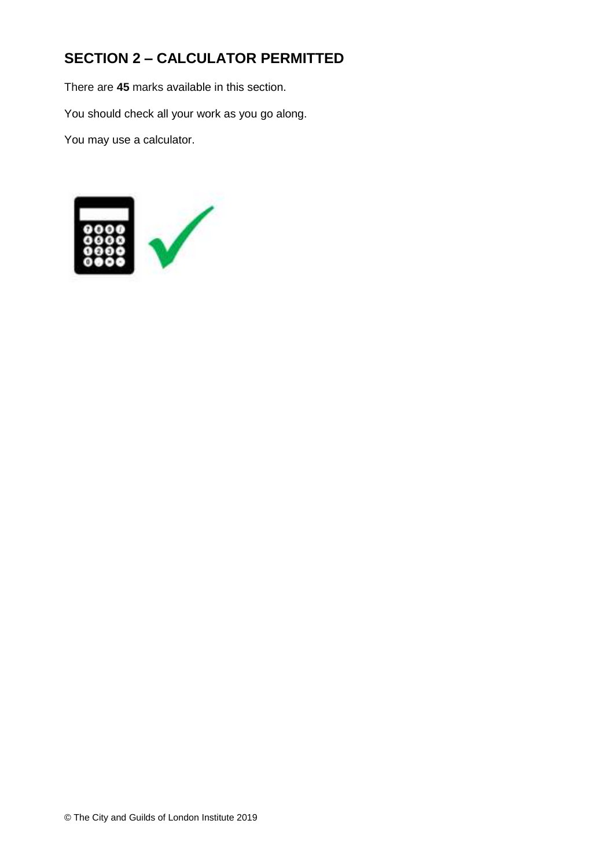# **SECTION 2 – CALCULATOR PERMITTED**

There are **45** marks available in this section.

You should check all your work as you go along.

You may use a calculator.

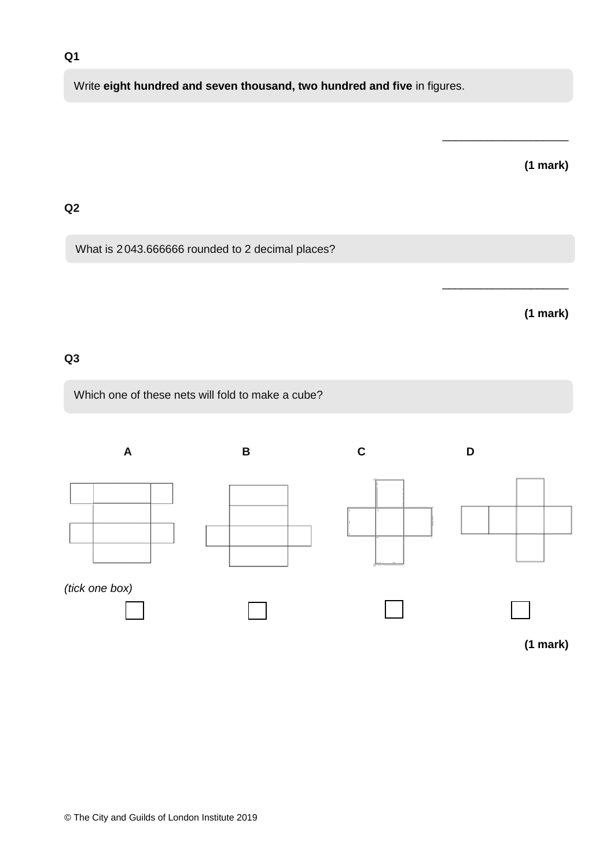### **Q1**

# Write **eight hundred and seven thousand, two hundred and five** in figures.

# **(1 mark)**

\_\_\_\_\_\_\_\_\_\_\_\_\_\_\_\_\_\_\_\_

\_\_\_\_\_\_\_\_\_\_\_\_\_\_\_\_\_\_\_\_

#### **Q2**

What is 2043.666666 rounded to 2 decimal places?

# **(1 mark)**

### **Q3**

Which one of these nets will fold to make a cube?

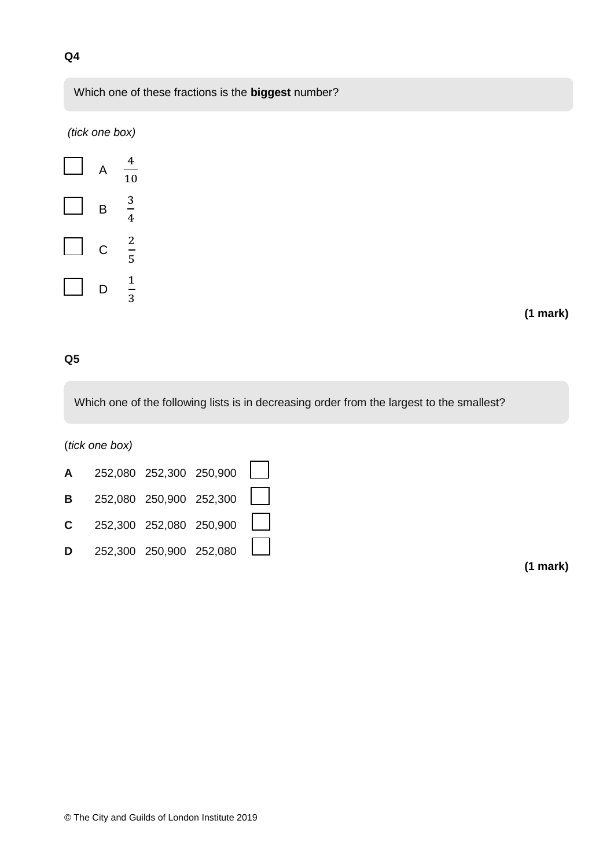

#### **Q5**

Which one of the following lists is in decreasing order from the largest to the smallest?

(*tick one box)*

|   | <b>A</b> 252,080 252,300 250,900 $\Box$ |                               |  |
|---|-----------------------------------------|-------------------------------|--|
|   | <b>B</b> 252,080 250,900 252,300 $\Box$ |                               |  |
|   | <b>C</b> 252,300 252,080 250,900        |                               |  |
| D |                                         | $252,300$ $250,900$ $252,080$ |  |

**(1 mark)**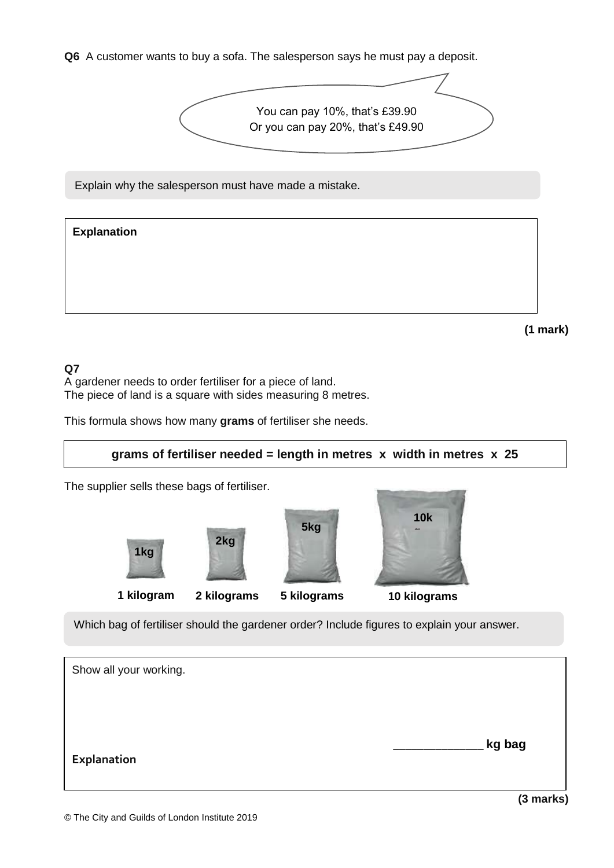**Q6** A customer wants to buy a sofa. The salesperson says he must pay a deposit.



Explain why the salesperson must have made a mistake.

# **(1 mark) Explanation**

## **Q7**

A gardener needs to order fertiliser for a piece of land. The piece of land is a square with sides measuring 8 metres.

This formula shows how many **grams** of fertiliser she needs.

# **grams of fertiliser needed = length in metres x width in metres x 25**

The supplier sells these bags of fertiliser.



Which bag of fertiliser should the gardener order? Include figures to explain your answer.

| Show all your working. |        |
|------------------------|--------|
|                        |        |
|                        |        |
| <b>Explanation</b>     | kg bag |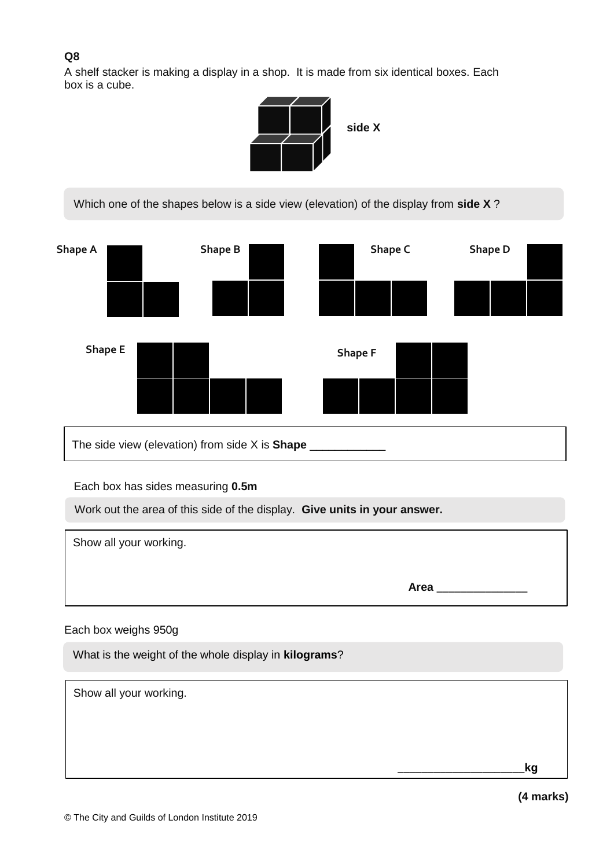# **Q8**

A shelf stacker is making a display in a shop. It is made from six identical boxes. Each box is a cube.



Which one of the shapes below is a side view (elevation) of the display from **side X** ?



The side view (elevation) from side X is **Shape** \_\_\_\_\_\_\_\_\_\_\_\_

Each box has sides measuring **0.5m**

Work out the area of this side of the display. **Give units in your answer.**

Show all your working. **Area** \_\_\_\_\_\_\_\_\_\_\_\_\_\_\_ \_\_\_

## Each box weighs 950g

What is the weight of the whole display in **kilograms**?

Show all your working. \_\_\_\_\_\_\_\_\_\_\_\_\_\_\_\_\_\_\_\_\_**kg**

**(4 marks)**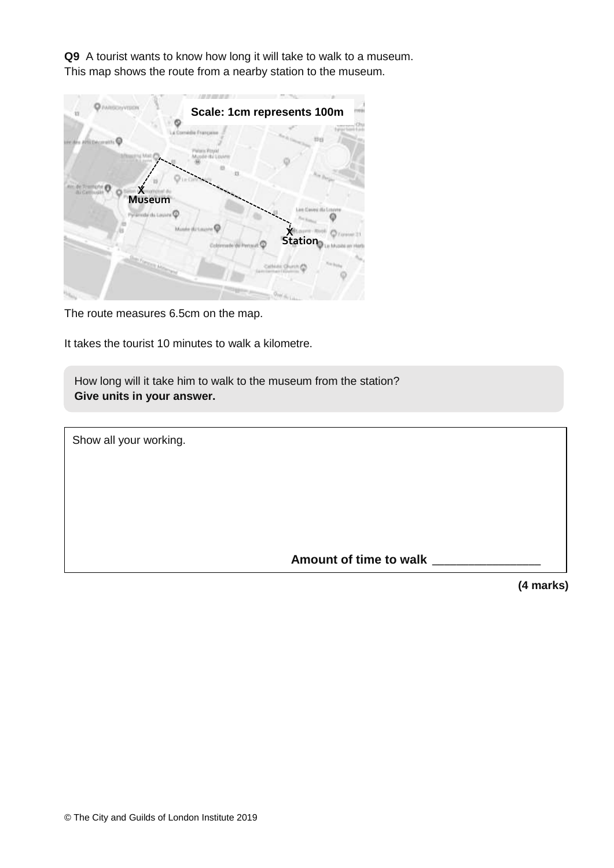**Q9** A tourist wants to know how long it will take to walk to a museum. This map shows the route from a nearby station to the museum.



The route measures 6.5cm on the map.

It takes the tourist 10 minutes to walk a kilometre.

How long will it take him to walk to the museum from the station? **Give units in your answer.**

Show all your working.

 **Amount of time to walk** \_\_\_\_\_\_\_\_\_\_\_\_\_\_\_\_\_\_

**(4 marks)**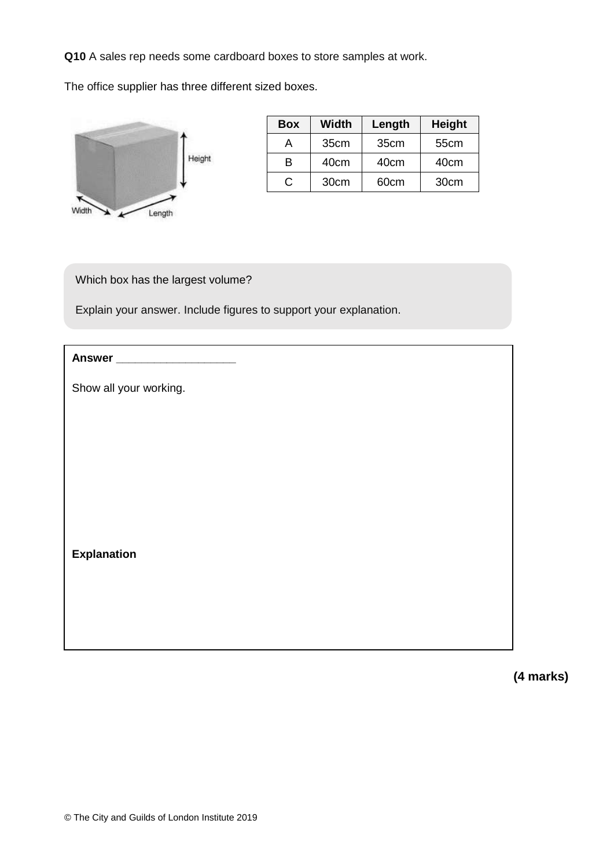**Q10** A sales rep needs some cardboard boxes to store samples at work.

The office supplier has three different sized boxes.



| <b>Box</b> | <b>Width</b>     | Length           | <b>Height</b>    |
|------------|------------------|------------------|------------------|
|            | 35cm             | 35 <sub>cm</sub> | 55cm             |
| R          | 40cm             | 40cm             | 40cm             |
| €          | 30 <sub>cm</sub> | 60cm             | 30 <sub>cm</sub> |

Which box has the largest volume?

Explain your answer. Include figures to support your explanation.

| Answer ______________________ |  |
|-------------------------------|--|
| Show all your working.        |  |
|                               |  |
|                               |  |
|                               |  |
|                               |  |
| <b>Explanation</b>            |  |
|                               |  |
|                               |  |
|                               |  |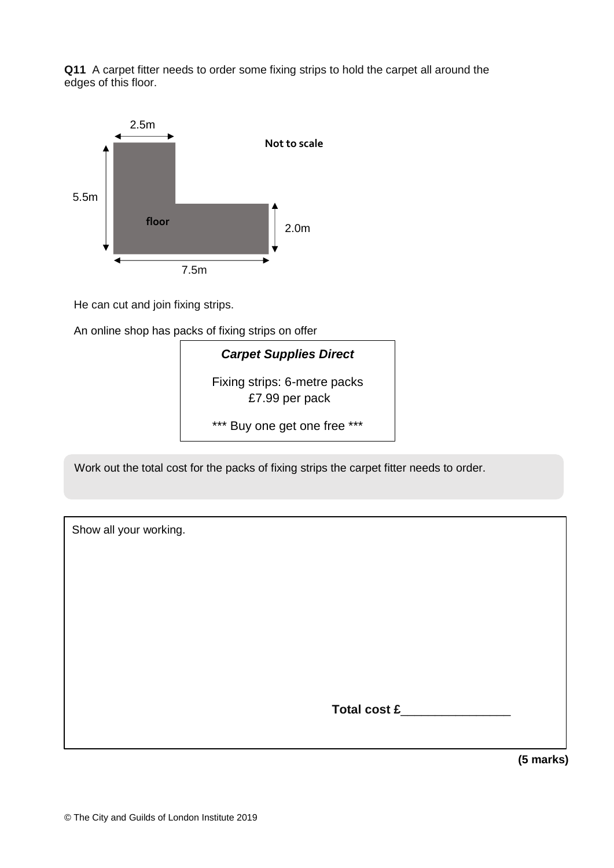**Q11** A carpet fitter needs to order some fixing strips to hold the carpet all around the edges of this floor.



He can cut and join fixing strips.

An online shop has packs of fixing strips on offer



Work out the total cost for the packs of fixing strips the carpet fitter needs to order.

| Show all your working. |              |
|------------------------|--------------|
|                        |              |
|                        |              |
|                        |              |
|                        |              |
|                        |              |
|                        | Total cost £ |
|                        |              |

**(5 marks)**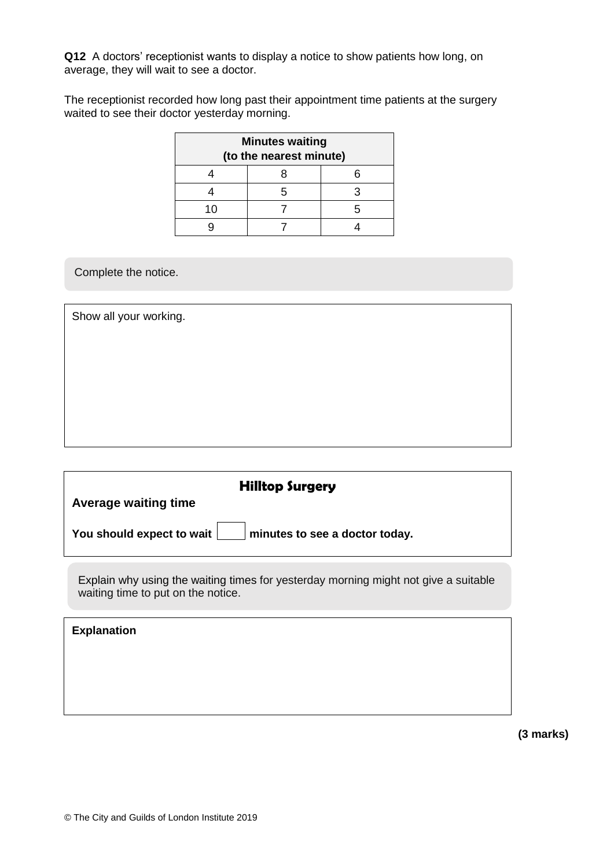**Q12** A doctors' receptionist wants to display a notice to show patients how long, on average, they will wait to see a doctor.

The receptionist recorded how long past their appointment time patients at the surgery waited to see their doctor yesterday morning.

| <b>Minutes waiting</b>  |   |  |  |  |  |  |
|-------------------------|---|--|--|--|--|--|
| (to the nearest minute) |   |  |  |  |  |  |
|                         |   |  |  |  |  |  |
|                         | 5 |  |  |  |  |  |
| 10                      |   |  |  |  |  |  |
|                         |   |  |  |  |  |  |

Complete the notice.

Show all your working.

| <b>Hilltop Surgery</b>                                                                                                    |  |  |  |  |  |
|---------------------------------------------------------------------------------------------------------------------------|--|--|--|--|--|
| <b>Average waiting time</b>                                                                                               |  |  |  |  |  |
| You should expect to wait<br>minutes to see a doctor today.                                                               |  |  |  |  |  |
| Explain why using the waiting times for yesterday morning might not give a suitable<br>waiting time to put on the notice. |  |  |  |  |  |
| <b>Explanation</b>                                                                                                        |  |  |  |  |  |
|                                                                                                                           |  |  |  |  |  |

**(3 marks)**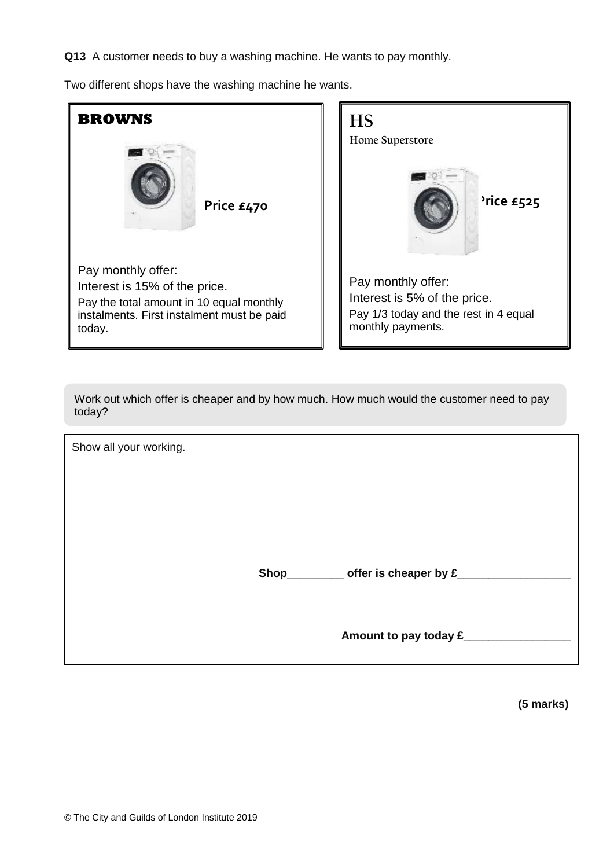**Q13** A customer needs to buy a washing machine. He wants to pay monthly.

Two different shops have the washing machine he wants.



Work out which offer is cheaper and by how much. How much would the customer need to pay today?

Show all your working. **Shop\_\_\_\_\_\_\_\_\_ offer is cheaper by £\_\_\_\_\_\_\_\_\_\_\_\_\_\_\_\_\_\_** Amount to pay today £

**(5 marks)**

ֺ֝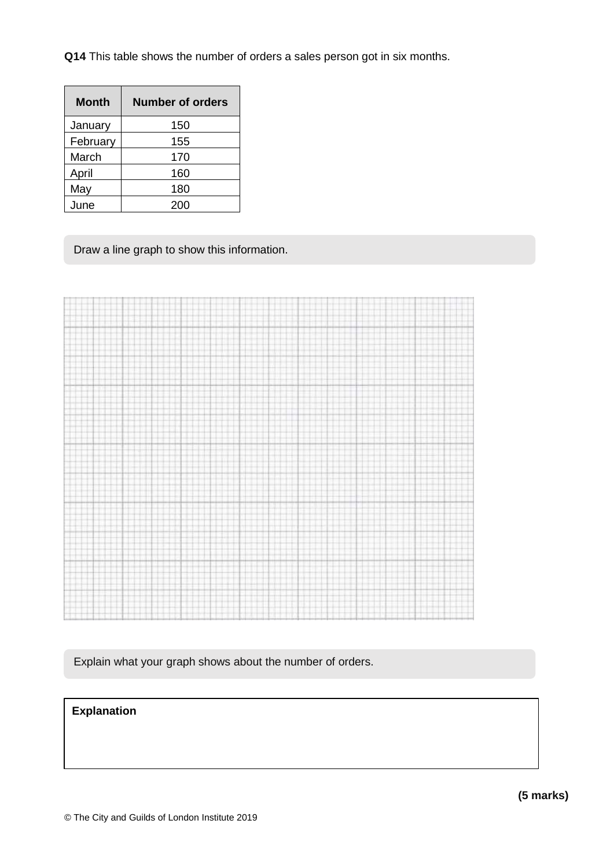**Q14** This table shows the number of orders a sales person got in six months.

| <b>Month</b> | Number of orders |  |  |  |  |  |
|--------------|------------------|--|--|--|--|--|
| January      | 150              |  |  |  |  |  |
| February     | 155              |  |  |  |  |  |
| March        | 170              |  |  |  |  |  |
| April        | 160              |  |  |  |  |  |
| May          | 180              |  |  |  |  |  |
| June         | 200              |  |  |  |  |  |

Draw a line graph to show this information.

|  | ٠ |            |
|--|---|------------|
|  |   |            |
|  |   |            |
|  |   |            |
|  |   |            |
|  |   |            |
|  |   |            |
|  |   |            |
|  |   |            |
|  |   |            |
|  |   |            |
|  |   |            |
|  |   |            |
|  |   |            |
|  |   |            |
|  |   |            |
|  |   |            |
|  |   |            |
|  |   |            |
|  |   |            |
|  |   |            |
|  |   |            |
|  |   |            |
|  |   |            |
|  |   |            |
|  |   |            |
|  | ÷ |            |
|  |   |            |
|  |   |            |
|  |   |            |
|  |   |            |
|  |   |            |
|  |   |            |
|  |   |            |
|  |   |            |
|  |   |            |
|  |   |            |
|  |   |            |
|  |   |            |
|  |   |            |
|  |   | -9-11<br>- |
|  |   |            |
|  |   |            |
|  |   |            |
|  |   |            |
|  |   |            |
|  |   |            |
|  |   |            |
|  |   |            |
|  |   |            |
|  |   |            |
|  |   |            |
|  |   |            |
|  |   |            |
|  |   |            |
|  |   |            |
|  |   |            |
|  |   |            |
|  |   |            |
|  |   |            |
|  |   |            |
|  |   |            |
|  |   |            |
|  |   |            |
|  |   |            |
|  |   |            |
|  |   |            |
|  |   |            |
|  |   |            |
|  |   |            |
|  |   |            |

Explain what your graph shows about the number of orders.

## **Explanation**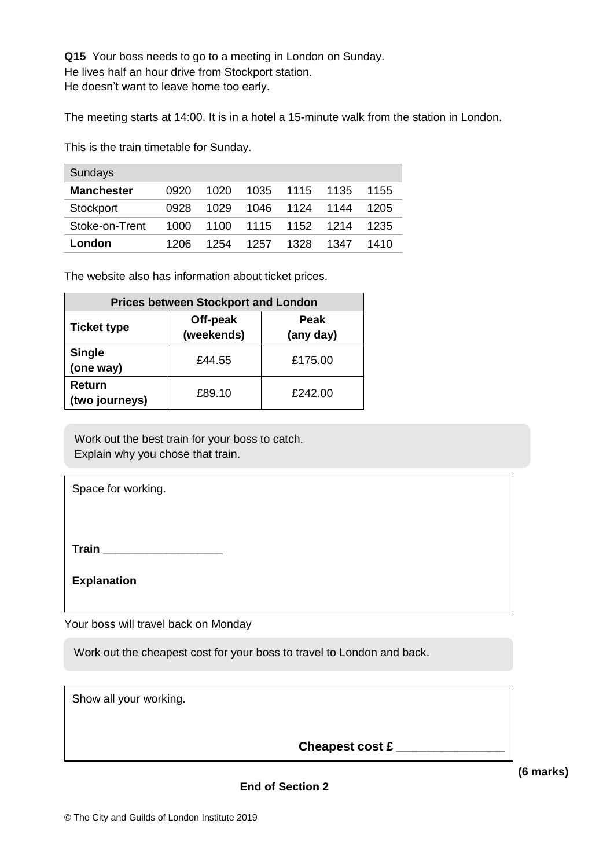**Q15** Your boss needs to go to a meeting in London on Sunday. He lives half an hour drive from Stockport station. He doesn't want to leave home too early.

The meeting starts at 14:00. It is in a hotel a 15-minute walk from the station in London.

This is the train timetable for Sunday.

| <b>Sundays</b>    |      |      |        |           |      |      |
|-------------------|------|------|--------|-----------|------|------|
| <b>Manchester</b> | 0920 | 1020 | 1035 - | 1115      | 1135 | 1155 |
| Stockport         | 0928 | 1029 | 1046   | 1124      | 1144 | 1205 |
| Stoke-on-Trent    | 1000 | 1100 |        | 1115 1152 | 1214 | 1235 |
| London            | 1206 | 1254 | 1257   | 1328      | 1347 | 1410 |

The website also has information about ticket prices.

| <b>Prices between Stockport and London</b> |                        |                   |  |  |  |  |
|--------------------------------------------|------------------------|-------------------|--|--|--|--|
| <b>Ticket type</b>                         | Off-peak<br>(weekends) | Peak<br>(any day) |  |  |  |  |
| <b>Single</b><br>(one way)                 | £44.55                 | £175.00           |  |  |  |  |
| Return<br>(two journeys)                   | £89.10                 | £242.00           |  |  |  |  |

Work out the best train for your boss to catch. Explain why you chose that train.

Space for working.

**Train Train** 

**Explanation**

Your boss will travel back on Monday

Work out the cheapest cost for your boss to travel to London and back.

| Cheapest cost £ |
|-----------------|

**(6 marks)**